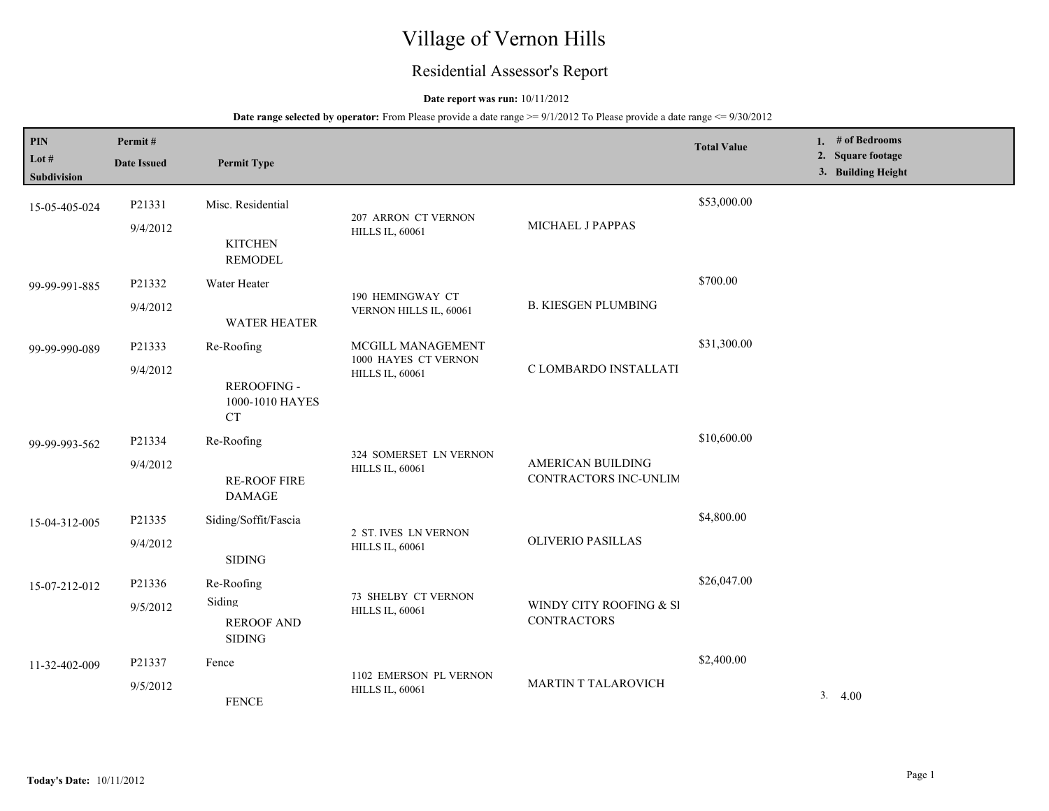# Village of Vernon Hills

## Residential Assessor's Report

## **Date report was run:** 10/11/2012

| PIN<br>Lot #<br>Subdivision | Permit#<br><b>Date Issued</b> | <b>Permit Type</b>                           |                                                                     |                                               | <b>Total Value</b> | 1. $#$ of Bedrooms<br>2. Square footage<br>3. Building Height |
|-----------------------------|-------------------------------|----------------------------------------------|---------------------------------------------------------------------|-----------------------------------------------|--------------------|---------------------------------------------------------------|
| 15-05-405-024               | P21331                        | Misc. Residential                            | 207 ARRON CT VERNON                                                 |                                               | \$53,000.00        |                                                               |
|                             | 9/4/2012                      | <b>KITCHEN</b><br><b>REMODEL</b>             | MICHAEL J PAPPAS<br><b>HILLS IL, 60061</b>                          |                                               |                    |                                                               |
| 99-99-991-885               | P21332                        | Water Heater                                 |                                                                     |                                               | \$700.00           |                                                               |
|                             | 9/4/2012                      | <b>WATER HEATER</b>                          | 190 HEMINGWAY CT<br>VERNON HILLS IL, 60061                          | <b>B. KIESGEN PLUMBING</b>                    |                    |                                                               |
| 99-99-990-089               | P21333                        | Re-Roofing                                   | MCGILL MANAGEMENT<br>1000 HAYES CT VERNON<br><b>HILLS IL, 60061</b> | C LOMBARDO INSTALLATI                         | \$31,300.00        |                                                               |
|                             | 9/4/2012                      | REROOFING -<br>1000-1010 HAYES<br><b>CT</b>  |                                                                     |                                               |                    |                                                               |
| 99-99-993-562               | P21334                        | Re-Roofing                                   | 324 SOMERSET LN VERNON<br><b>HILLS IL, 60061</b>                    | AMERICAN BUILDING<br>CONTRACTORS INC-UNLIM    | \$10,600.00        |                                                               |
|                             | 9/4/2012                      | <b>RE-ROOF FIRE</b><br><b>DAMAGE</b>         |                                                                     |                                               |                    |                                                               |
| 15-04-312-005               | P21335                        | Siding/Soffit/Fascia                         | 2 ST. IVES LN VERNON<br><b>HILLS IL, 60061</b>                      | <b>OLIVERIO PASILLAS</b>                      | \$4,800.00         |                                                               |
|                             | 9/4/2012                      | <b>SIDING</b>                                |                                                                     |                                               |                    |                                                               |
| 15-07-212-012               | P21336                        | Re-Roofing                                   | 73 SHELBY CT VERNON                                                 | WINDY CITY ROOFING & SI<br><b>CONTRACTORS</b> | \$26,047.00        |                                                               |
|                             | 9/5/2012                      | Siding<br><b>REROOF AND</b><br><b>SIDING</b> | <b>HILLS IL, 60061</b>                                              |                                               |                    |                                                               |
| 11-32-402-009               | P21337                        | Fence                                        |                                                                     | <b>MARTIN T TALAROVICH</b>                    | \$2,400.00         |                                                               |
|                             | 9/5/2012                      | <b>FENCE</b>                                 | 1102 EMERSON PL VERNON<br><b>HILLS IL, 60061</b>                    |                                               |                    | 3.4.00                                                        |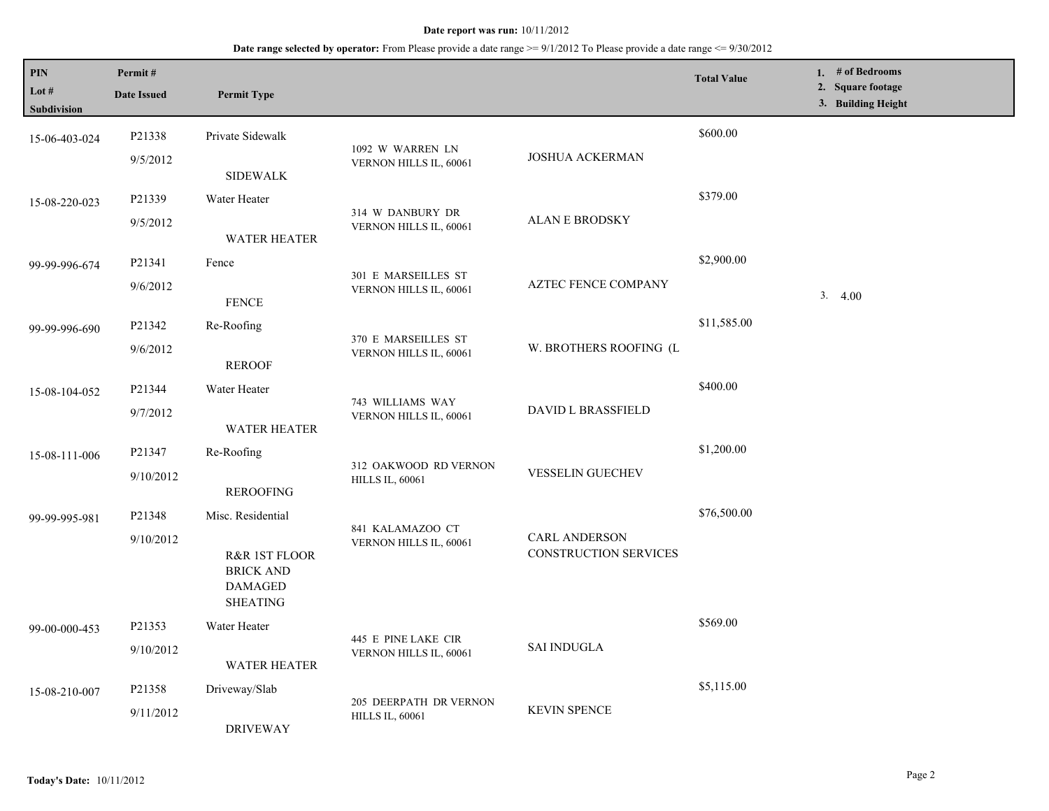| PIN<br>Lot #<br><b>Subdivision</b> | Permit#<br><b>Date Issued</b> | <b>Permit Type</b>                                                                          |                                                  |                                                      | <b>Total Value</b> | 1. # of Bedrooms<br>2. Square footage<br>3. Building Height |
|------------------------------------|-------------------------------|---------------------------------------------------------------------------------------------|--------------------------------------------------|------------------------------------------------------|--------------------|-------------------------------------------------------------|
| 15-06-403-024                      | P21338<br>9/5/2012            | Private Sidewalk                                                                            | 1092 W WARREN LN<br>VERNON HILLS IL, 60061       | <b>JOSHUA ACKERMAN</b>                               | \$600.00           |                                                             |
| 15-08-220-023                      | P21339<br>9/5/2012            | <b>SIDEWALK</b><br>Water Heater                                                             | 314 W DANBURY DR<br>VERNON HILLS IL, 60061       | <b>ALAN E BRODSKY</b>                                | \$379.00           |                                                             |
| 99-99-996-674                      | P21341<br>9/6/2012            | <b>WATER HEATER</b><br>Fence                                                                | 301 E MARSEILLES ST<br>VERNON HILLS IL, 60061    | <b>AZTEC FENCE COMPANY</b>                           | \$2,900.00         | 3.4.00                                                      |
| 99-99-996-690                      | P21342<br>9/6/2012            | <b>FENCE</b><br>Re-Roofing<br><b>REROOF</b>                                                 | 370 E MARSEILLES ST<br>VERNON HILLS IL, 60061    | W. BROTHERS ROOFING (L                               | \$11,585.00        |                                                             |
| 15-08-104-052                      | P21344<br>9/7/2012            | Water Heater<br>WATER HEATER                                                                | 743 WILLIAMS WAY<br>VERNON HILLS IL, 60061       | <b>DAVID L BRASSFIELD</b>                            | \$400.00           |                                                             |
| 15-08-111-006                      | P21347<br>9/10/2012           | Re-Roofing<br><b>REROOFING</b>                                                              | 312 OAKWOOD RD VERNON<br><b>HILLS IL, 60061</b>  | <b>VESSELIN GUECHEV</b>                              | \$1,200.00         |                                                             |
| 99-99-995-981                      | P21348<br>9/10/2012           | Misc. Residential<br>R&R 1ST FLOOR<br><b>BRICK AND</b><br><b>DAMAGED</b><br><b>SHEATING</b> | 841 KALAMAZOO CT<br>VERNON HILLS IL, 60061       | <b>CARL ANDERSON</b><br><b>CONSTRUCTION SERVICES</b> | \$76,500.00        |                                                             |
| 99-00-000-453                      | P21353<br>9/10/2012           | Water Heater<br><b>WATER HEATER</b>                                                         | 445 E PINE LAKE CIR<br>VERNON HILLS IL, 60061    | <b>SAI INDUGLA</b>                                   | \$569.00           |                                                             |
| 15-08-210-007                      | P21358<br>9/11/2012           | Driveway/Slab<br><b>DRIVEWAY</b>                                                            | 205 DEERPATH DR VERNON<br><b>HILLS IL, 60061</b> | <b>KEVIN SPENCE</b>                                  | \$5,115.00         |                                                             |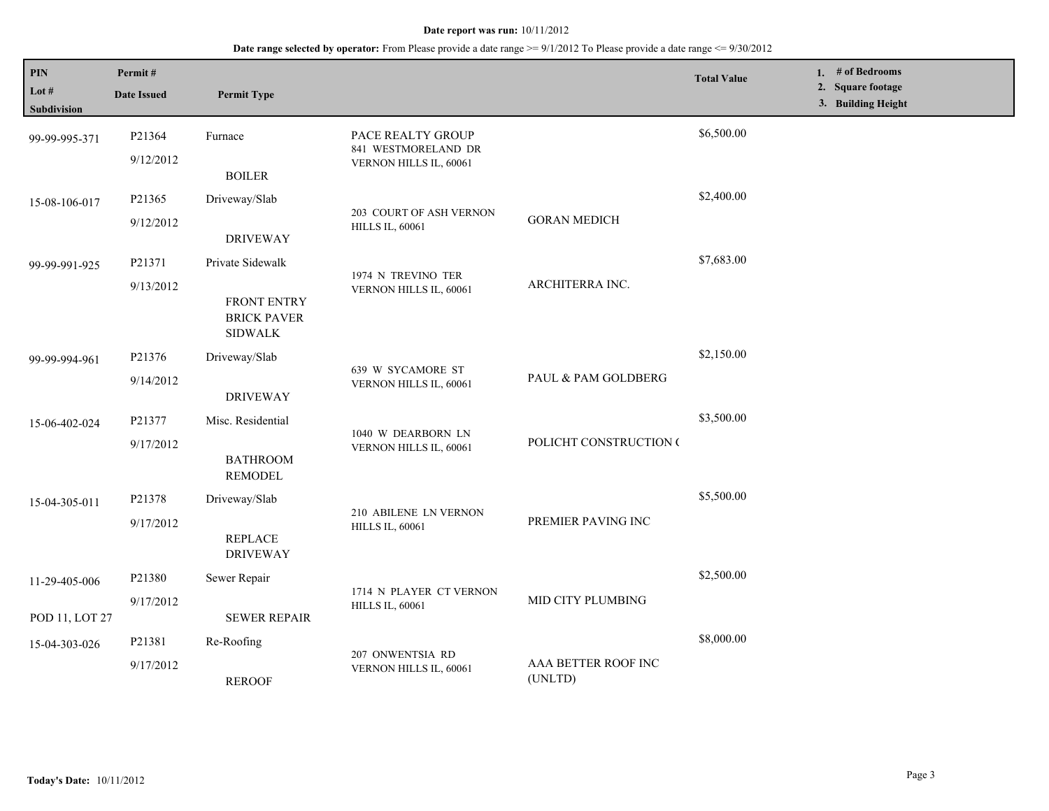| PIN<br>Lot #<br>Subdivision     | Permit#<br><b>Date Issued</b> | <b>Permit Type</b>                                                             |                                                                    |                                | <b>Total Value</b> | 1. # of Bedrooms<br>2. Square footage<br>3. Building Height |  |
|---------------------------------|-------------------------------|--------------------------------------------------------------------------------|--------------------------------------------------------------------|--------------------------------|--------------------|-------------------------------------------------------------|--|
| 99-99-995-371                   | P21364<br>9/12/2012           | Furnace<br><b>BOILER</b>                                                       | PACE REALTY GROUP<br>841 WESTMORELAND DR<br>VERNON HILLS IL, 60061 |                                | \$6,500.00         |                                                             |  |
| 15-08-106-017                   | P21365<br>9/12/2012           | Driveway/Slab<br><b>DRIVEWAY</b>                                               | 203 COURT OF ASH VERNON<br><b>HILLS IL, 60061</b>                  | <b>GORAN MEDICH</b>            | \$2,400.00         |                                                             |  |
| 99-99-991-925                   | P21371<br>9/13/2012           | Private Sidewalk<br><b>FRONT ENTRY</b><br><b>BRICK PAVER</b><br><b>SIDWALK</b> | 1974 N TREVINO TER<br>VERNON HILLS IL, 60061                       | ARCHITERRA INC.                | \$7,683.00         |                                                             |  |
| 99-99-994-961                   | P21376<br>9/14/2012           | Driveway/Slab<br><b>DRIVEWAY</b>                                               | 639 W SYCAMORE ST<br>VERNON HILLS IL, 60061                        | PAUL & PAM GOLDBERG            | \$2,150.00         |                                                             |  |
| 15-06-402-024                   | P21377<br>9/17/2012           | Misc. Residential<br><b>BATHROOM</b><br><b>REMODEL</b>                         | 1040 W DEARBORN LN<br>VERNON HILLS IL, 60061                       | POLICHT CONSTRUCTION (         | \$3,500.00         |                                                             |  |
| 15-04-305-011                   | P21378<br>9/17/2012           | Driveway/Slab<br><b>REPLACE</b><br><b>DRIVEWAY</b>                             | 210 ABILENE LN VERNON<br><b>HILLS IL, 60061</b>                    | PREMIER PAVING INC             | \$5,500.00         |                                                             |  |
| 11-29-405-006<br>POD 11, LOT 27 | P21380<br>9/17/2012           | Sewer Repair<br><b>SEWER REPAIR</b>                                            | 1714 N PLAYER CT VERNON<br><b>HILLS IL, 60061</b>                  | MID CITY PLUMBING              | \$2,500.00         |                                                             |  |
| 15-04-303-026                   | P21381<br>9/17/2012           | Re-Roofing<br><b>REROOF</b>                                                    | 207 ONWENTSIA RD<br>VERNON HILLS IL, 60061                         | AAA BETTER ROOF INC<br>(UNLTD) | \$8,000.00         |                                                             |  |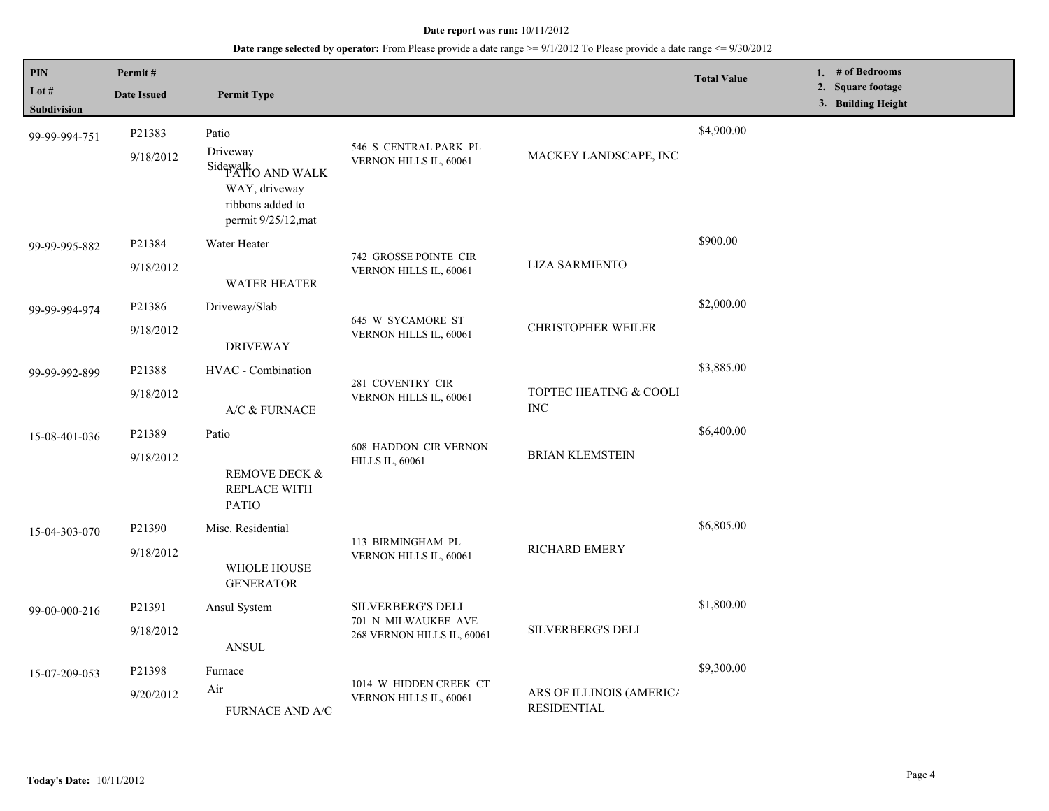| $\mathbf{PIN}$         | Permit#             |                                                                                                             |                                                                        |                                                | <b>Total Value</b> | 1. # of Bedrooms                        |
|------------------------|---------------------|-------------------------------------------------------------------------------------------------------------|------------------------------------------------------------------------|------------------------------------------------|--------------------|-----------------------------------------|
| Lot $#$<br>Subdivision | <b>Date Issued</b>  | <b>Permit Type</b>                                                                                          |                                                                        |                                                |                    | 2. Square footage<br>3. Building Height |
| 99-99-994-751          | P21383<br>9/18/2012 | Patio<br>Driveway<br>Sidewalk<br>PATIO AND WALK<br>WAY, driveway<br>ribbons added to<br>permit 9/25/12, mat | 546 S CENTRAL PARK PL<br>VERNON HILLS IL, 60061                        | MACKEY LANDSCAPE, INC                          | \$4,900.00         |                                         |
| 99-99-995-882          | P21384<br>9/18/2012 | Water Heater<br><b>WATER HEATER</b>                                                                         | 742 GROSSE POINTE CIR<br>VERNON HILLS IL, 60061                        | <b>LIZA SARMIENTO</b>                          | \$900.00           |                                         |
| 99-99-994-974          | P21386<br>9/18/2012 | Driveway/Slab<br><b>DRIVEWAY</b>                                                                            | 645 W SYCAMORE ST<br>VERNON HILLS IL, 60061                            | <b>CHRISTOPHER WEILER</b>                      | \$2,000.00         |                                         |
| 99-99-992-899          | P21388<br>9/18/2012 | HVAC - Combination<br>A/C & FURNACE                                                                         | 281 COVENTRY CIR<br>VERNON HILLS IL, 60061                             | TOPTEC HEATING & COOLI<br><b>INC</b>           | \$3,885.00         |                                         |
| 15-08-401-036          | P21389<br>9/18/2012 | Patio<br>REMOVE DECK &<br>REPLACE WITH<br><b>PATIO</b>                                                      | <b>608 HADDON CIR VERNON</b><br><b>HILLS IL, 60061</b>                 | <b>BRIAN KLEMSTEIN</b>                         | \$6,400.00         |                                         |
| 15-04-303-070          | P21390<br>9/18/2012 | Misc. Residential<br>WHOLE HOUSE<br><b>GENERATOR</b>                                                        | 113 BIRMINGHAM PL<br>VERNON HILLS IL, 60061                            | RICHARD EMERY                                  | \$6,805.00         |                                         |
| 99-00-000-216          | P21391<br>9/18/2012 | Ansul System<br><b>ANSUL</b>                                                                                | SILVERBERG'S DELI<br>701 N MILWAUKEE AVE<br>268 VERNON HILLS IL, 60061 | <b>SILVERBERG'S DELI</b>                       | \$1,800.00         |                                         |
| 15-07-209-053          | P21398<br>9/20/2012 | Furnace<br>Air<br>FURNACE AND A/C                                                                           | 1014 W HIDDEN CREEK CT<br>VERNON HILLS IL, 60061                       | ARS OF ILLINOIS (AMERICA<br><b>RESIDENTIAL</b> | \$9,300.00         |                                         |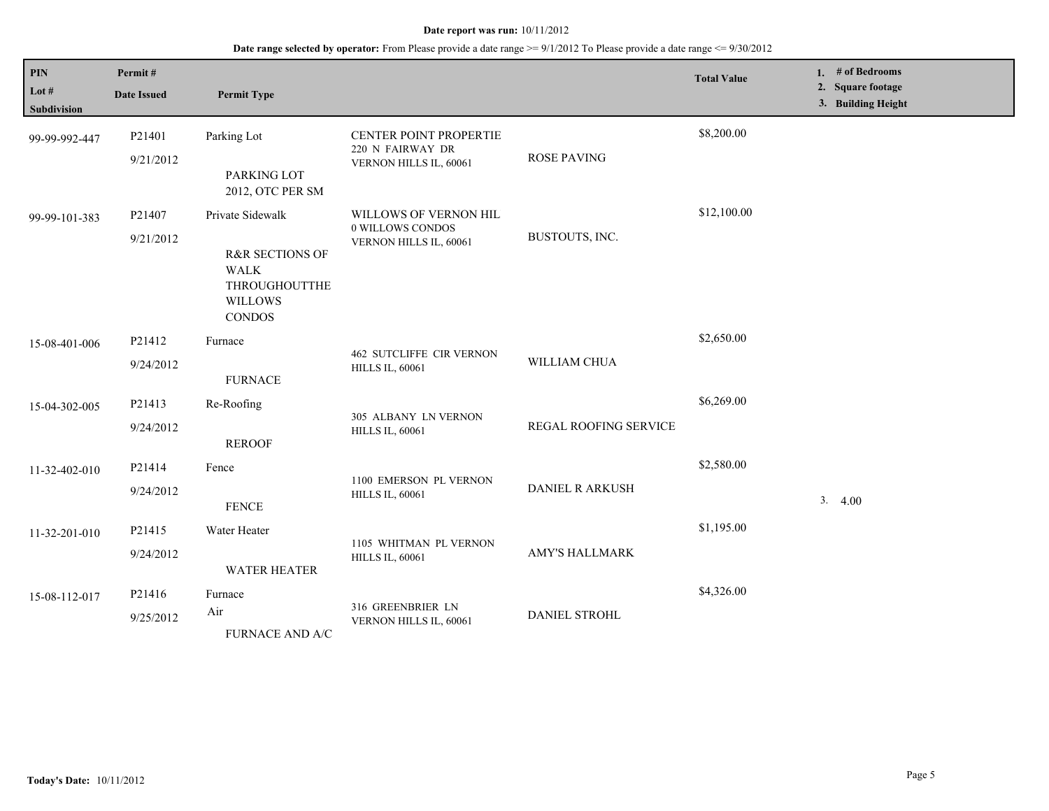| PIN<br>Lot $#$<br>Subdivision | Permit#<br><b>Date Issued</b> | <b>Permit Type</b>                                                                                                |                                                                      |                        | <b>Total Value</b> | 1. # of Bedrooms<br>2. Square footage<br>3. Building Height |
|-------------------------------|-------------------------------|-------------------------------------------------------------------------------------------------------------------|----------------------------------------------------------------------|------------------------|--------------------|-------------------------------------------------------------|
| 99-99-992-447                 | P21401<br>9/21/2012           | Parking Lot<br>PARKING LOT<br>2012, OTC PER SM                                                                    | CENTER POINT PROPERTIE<br>220 N FAIRWAY DR<br>VERNON HILLS IL, 60061 | <b>ROSE PAVING</b>     | \$8,200.00         |                                                             |
| 99-99-101-383                 | P21407<br>9/21/2012           | Private Sidewalk<br><b>R&amp;R SECTIONS OF</b><br><b>WALK</b><br>THROUGHOUTTHE<br><b>WILLOWS</b><br><b>CONDOS</b> | WILLOWS OF VERNON HIL<br>0 WILLOWS CONDOS<br>VERNON HILLS IL, 60061  | BUSTOUTS, INC.         | \$12,100.00        |                                                             |
| 15-08-401-006                 | P21412<br>9/24/2012           | Furnace<br><b>FURNACE</b>                                                                                         | <b>462 SUTCLIFFE CIR VERNON</b><br><b>HILLS IL, 60061</b>            | WILLIAM CHUA           | \$2,650.00         |                                                             |
| 15-04-302-005                 | P21413<br>9/24/2012           | Re-Roofing<br><b>REROOF</b>                                                                                       | 305 ALBANY LN VERNON<br><b>HILLS IL, 60061</b>                       | REGAL ROOFING SERVICE  | \$6,269.00         |                                                             |
| 11-32-402-010                 | P21414<br>9/24/2012           | Fence<br><b>FENCE</b>                                                                                             | 1100 EMERSON PL VERNON<br><b>HILLS IL, 60061</b>                     | <b>DANIEL R ARKUSH</b> | \$2,580.00         | 3.4.00                                                      |
| 11-32-201-010                 | P21415<br>9/24/2012           | Water Heater<br>WATER HEATER                                                                                      | 1105 WHITMAN PL VERNON<br><b>HILLS IL, 60061</b>                     | <b>AMY'S HALLMARK</b>  | \$1,195.00         |                                                             |
| 15-08-112-017                 | P21416<br>9/25/2012           | Furnace<br>Air<br>FURNACE AND A/C                                                                                 | 316 GREENBRIER LN<br>VERNON HILLS IL, 60061                          | DANIEL STROHL          | \$4,326.00         |                                                             |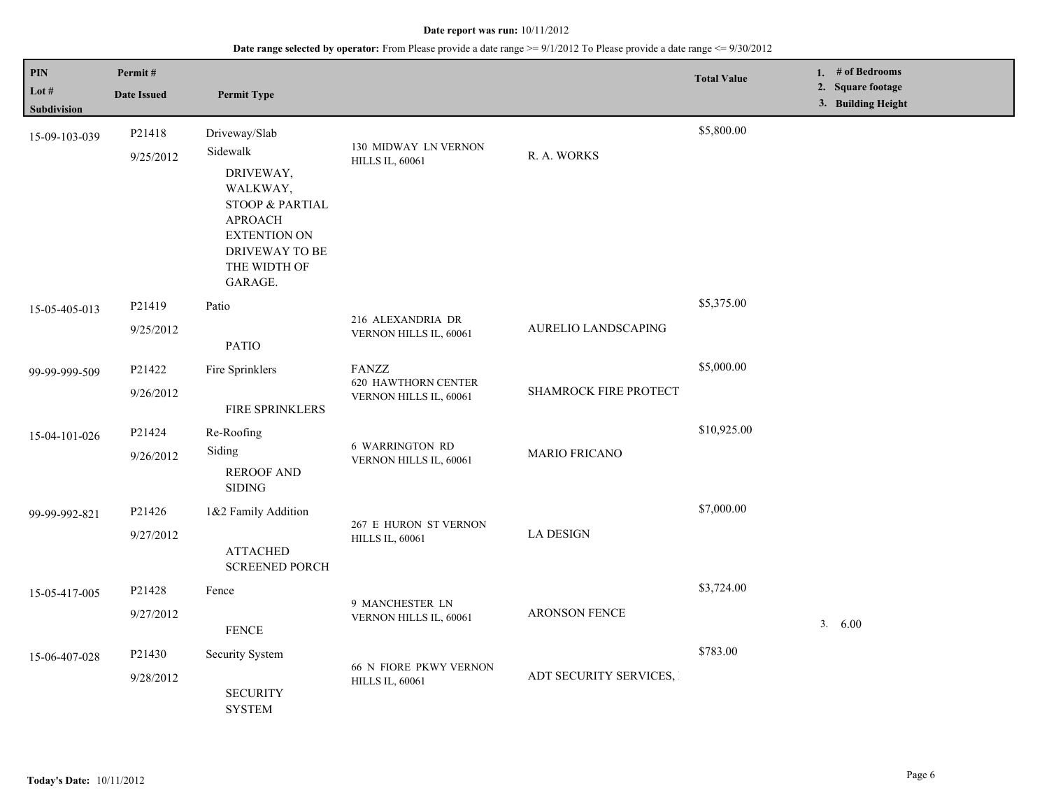| <b>PIN</b><br>Lot $#$<br><b>Subdivision</b> | Permit#<br><b>Date Issued</b> | <b>Permit Type</b>                                                                                                                                                     |                                                                      |                        | <b>Total Value</b> | 1. $#$ of Bedrooms<br>2. Square footage<br>3. Building Height |
|---------------------------------------------|-------------------------------|------------------------------------------------------------------------------------------------------------------------------------------------------------------------|----------------------------------------------------------------------|------------------------|--------------------|---------------------------------------------------------------|
| 15-09-103-039                               | P21418<br>9/25/2012           | Driveway/Slab<br>Sidewalk<br>DRIVEWAY,<br>WALKWAY,<br><b>STOOP &amp; PARTIAL</b><br><b>APROACH</b><br><b>EXTENTION ON</b><br>DRIVEWAY TO BE<br>THE WIDTH OF<br>GARAGE. | 130 MIDWAY LN VERNON<br><b>HILLS IL, 60061</b>                       | R. A. WORKS            | \$5,800.00         |                                                               |
| 15-05-405-013                               | P21419<br>9/25/2012           | Patio<br><b>PATIO</b>                                                                                                                                                  | 216 ALEXANDRIA DR<br>VERNON HILLS IL, 60061                          | AURELIO LANDSCAPING    | \$5,375.00         |                                                               |
| 99-99-999-509                               | P21422<br>9/26/2012           | Fire Sprinklers<br>FIRE SPRINKLERS                                                                                                                                     | <b>FANZZ</b><br><b>620 HAWTHORN CENTER</b><br>VERNON HILLS IL, 60061 | SHAMROCK FIRE PROTECT  | \$5,000.00         |                                                               |
| 15-04-101-026                               | P21424<br>9/26/2012           | Re-Roofing<br>Siding<br><b>REROOF AND</b><br><b>SIDING</b>                                                                                                             | <b>6 WARRINGTON RD</b><br>VERNON HILLS IL, 60061                     | <b>MARIO FRICANO</b>   | \$10,925.00        |                                                               |
| 99-99-992-821                               | P21426<br>9/27/2012           | 1&2 Family Addition<br><b>ATTACHED</b><br><b>SCREENED PORCH</b>                                                                                                        | 267 E HURON ST VERNON<br><b>HILLS IL, 60061</b>                      | <b>LA DESIGN</b>       | \$7,000.00         |                                                               |
| 15-05-417-005                               | P21428<br>9/27/2012           | Fence<br><b>FENCE</b>                                                                                                                                                  | 9 MANCHESTER LN<br>VERNON HILLS IL, 60061                            | <b>ARONSON FENCE</b>   | \$3,724.00         | 3.<br>6.00                                                    |
| 15-06-407-028                               | P21430<br>9/28/2012           | Security System<br><b>SECURITY</b><br><b>SYSTEM</b>                                                                                                                    | <b>66 N FIORE PKWY VERNON</b><br><b>HILLS IL, 60061</b>              | ADT SECURITY SERVICES, | \$783.00           |                                                               |